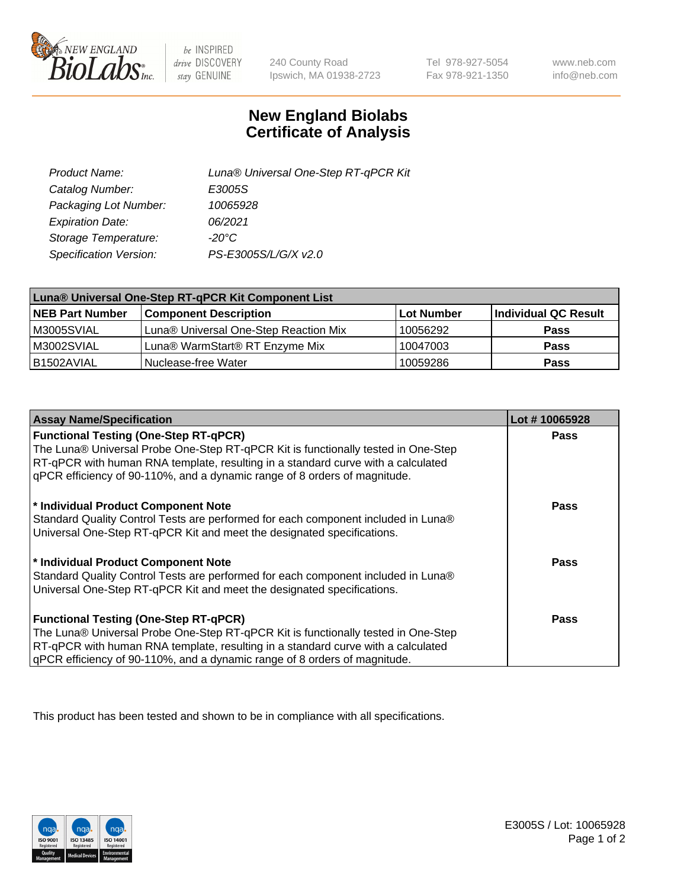

 $be$  INSPIRED drive DISCOVERY stay GENUINE

240 County Road Ipswich, MA 01938-2723

Tel 978-927-5054 Fax 978-921-1350

www.neb.com info@neb.com

## **New England Biolabs Certificate of Analysis**

| Product Name:           | Luna® Universal One-Step RT-qPCR Kit |
|-------------------------|--------------------------------------|
| Catalog Number:         | E3005S                               |
| Packaging Lot Number:   | 10065928                             |
| <b>Expiration Date:</b> | 06/2021                              |
| Storage Temperature:    | $-20^{\circ}$ C                      |
| Specification Version:  | PS-E3005S/L/G/X v2.0                 |

| Luna® Universal One-Step RT-qPCR Kit Component List |                                       |            |                      |  |
|-----------------------------------------------------|---------------------------------------|------------|----------------------|--|
| <b>NEB Part Number</b>                              | <b>Component Description</b>          | Lot Number | Individual QC Result |  |
| M3005SVIAL                                          | Luna® Universal One-Step Reaction Mix | 10056292   | <b>Pass</b>          |  |
| M3002SVIAL                                          | Luna® WarmStart® RT Enzyme Mix        | 10047003   | <b>Pass</b>          |  |
| B1502AVIAL                                          | Nuclease-free Water                   | 10059286   | <b>Pass</b>          |  |

| <b>Assay Name/Specification</b>                                                                                                                                       | Lot #10065928 |
|-----------------------------------------------------------------------------------------------------------------------------------------------------------------------|---------------|
| <b>Functional Testing (One-Step RT-qPCR)</b>                                                                                                                          | <b>Pass</b>   |
| The Luna® Universal Probe One-Step RT-qPCR Kit is functionally tested in One-Step<br>RT-qPCR with human RNA template, resulting in a standard curve with a calculated |               |
| gPCR efficiency of 90-110%, and a dynamic range of 8 orders of magnitude.                                                                                             |               |
| * Individual Product Component Note                                                                                                                                   | Pass          |
| Standard Quality Control Tests are performed for each component included in Luna®                                                                                     |               |
| Universal One-Step RT-qPCR Kit and meet the designated specifications.                                                                                                |               |
| * Individual Product Component Note                                                                                                                                   | Pass          |
| Standard Quality Control Tests are performed for each component included in Luna®                                                                                     |               |
| Universal One-Step RT-qPCR Kit and meet the designated specifications.                                                                                                |               |
| <b>Functional Testing (One-Step RT-qPCR)</b>                                                                                                                          | <b>Pass</b>   |
| The Luna® Universal Probe One-Step RT-qPCR Kit is functionally tested in One-Step                                                                                     |               |
| RT-qPCR with human RNA template, resulting in a standard curve with a calculated                                                                                      |               |
| gPCR efficiency of 90-110%, and a dynamic range of 8 orders of magnitude.                                                                                             |               |

This product has been tested and shown to be in compliance with all specifications.